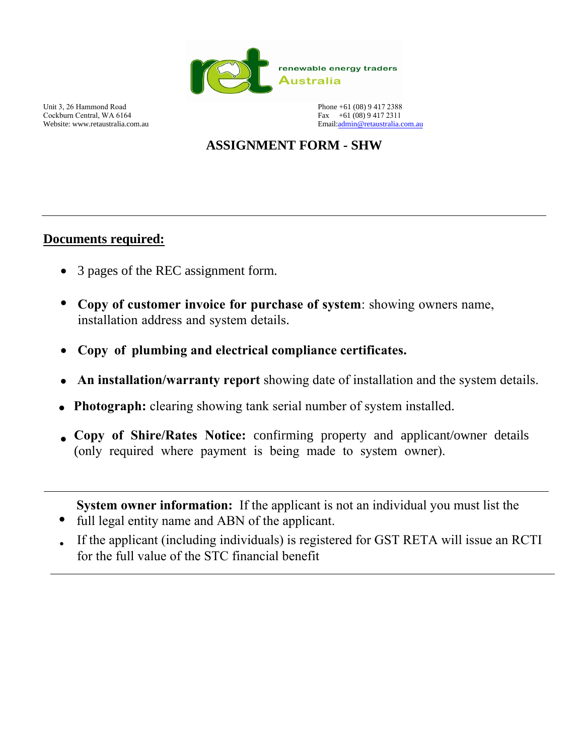

Unit 3, 26 Hammond Road Cockburn Central, WA 6164 Website: www.retaustralia.com.au

Phone +61 (08) 9 417 2388 Fax +61 (08) 9 417 2311 Email[:admin@retaustralia.com.au](mailto:admin@retaustralia.com.au)

# **ASSIGNMENT FORM - SHW**

## **Documents required:**

- 3 pages of the REC assignment form.
- **Copy of customer invoice for purchase of system**: showing owners name, installation address and system details.
- **Copy of plumbing and electrical compliance certificates.**
- **An installation/warranty report** showing date of installation and the system details.
- **Photograph:** clearing showing tank serial number of system installed.
- **Copy of Shire/Rates Notice:** confirming property and applicant/owner details (only required where payment is being made to system owner).

**System owner information:** If the applicant is not an individual you must list the

- full legal entity name and ABN of the applicant. •
- If the applicant (including individuals) is registered for GST RETA will issue an RCTI for the full value of the STC financial benefit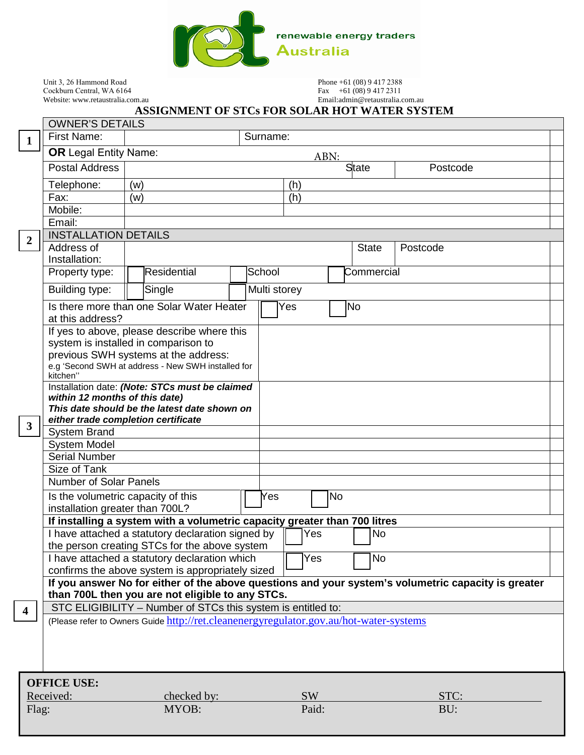

Unit 3, 26 Hammond Road Cockburn Central, WA 6164 Website: www.retaustralia.com.au Phone +61 (08) 9 417 2388 Fax  $+61(08)94172311$ 

Email:admin@retaustralia.com.au

### **ASSIGNMENT OF STCs FOR SOLAR HOT WATER SYSTEM**

|                                | <b>OWNER'S DETAILS</b>                                                                                   |                                                                                        |        |              |              |          |      |  |  |  |
|--------------------------------|----------------------------------------------------------------------------------------------------------|----------------------------------------------------------------------------------------|--------|--------------|--------------|----------|------|--|--|--|
| $\mathbf{1}$                   | <b>First Name:</b>                                                                                       | Surname:                                                                               |        |              |              |          |      |  |  |  |
|                                | <b>OR Legal Entity Name:</b>                                                                             | ABN:                                                                                   |        |              |              |          |      |  |  |  |
|                                | <b>Postal Address</b>                                                                                    |                                                                                        |        |              | <b>State</b> | Postcode |      |  |  |  |
|                                | Telephone:                                                                                               | (w)                                                                                    |        | (h)          |              |          |      |  |  |  |
|                                | Fax:                                                                                                     | (w)                                                                                    |        | (h)          |              |          |      |  |  |  |
|                                | Mobile:                                                                                                  |                                                                                        |        |              |              |          |      |  |  |  |
|                                | Email:                                                                                                   |                                                                                        |        |              |              |          |      |  |  |  |
| $\overline{2}$                 | <b>INSTALLATION DETAILS</b>                                                                              |                                                                                        |        |              |              |          |      |  |  |  |
|                                | Address of<br>Installation:                                                                              |                                                                                        |        |              | <b>State</b> | Postcode |      |  |  |  |
|                                | Property type:                                                                                           | Residential                                                                            | School |              | Commercial   |          |      |  |  |  |
|                                | Building type:                                                                                           | Single                                                                                 |        | Multi storey |              |          |      |  |  |  |
|                                |                                                                                                          |                                                                                        |        | Yes          | No           |          |      |  |  |  |
|                                | Is there more than one Solar Water Heater<br>at this address?                                            |                                                                                        |        |              |              |          |      |  |  |  |
|                                |                                                                                                          | If yes to above, please describe where this                                            |        |              |              |          |      |  |  |  |
|                                |                                                                                                          | system is installed in comparison to<br>previous SWH systems at the address:           |        |              |              |          |      |  |  |  |
|                                |                                                                                                          | e.g 'Second SWH at address - New SWH installed for                                     |        |              |              |          |      |  |  |  |
|                                | kitchen"                                                                                                 |                                                                                        |        |              |              |          |      |  |  |  |
|                                | within 12 months of this date)                                                                           | Installation date: (Note: STCs must be claimed                                         |        |              |              |          |      |  |  |  |
|                                |                                                                                                          | This date should be the latest date shown on                                           |        |              |              |          |      |  |  |  |
| $\mathbf{3}$                   |                                                                                                          | either trade completion certificate                                                    |        |              |              |          |      |  |  |  |
|                                | <b>System Brand</b>                                                                                      |                                                                                        |        |              |              |          |      |  |  |  |
|                                | <b>System Model</b>                                                                                      |                                                                                        |        |              |              |          |      |  |  |  |
|                                | <b>Serial Number</b><br>Size of Tank                                                                     |                                                                                        |        |              |              |          |      |  |  |  |
|                                | <b>Number of Solar Panels</b>                                                                            |                                                                                        |        |              |              |          |      |  |  |  |
|                                | Is the volumetric capacity of this                                                                       |                                                                                        |        | Yes          | No           |          |      |  |  |  |
|                                | installation greater than 700L?                                                                          |                                                                                        |        |              |              |          |      |  |  |  |
|                                |                                                                                                          | If installing a system with a volumetric capacity greater than 700 litres              |        |              |              |          |      |  |  |  |
|                                |                                                                                                          | I have attached a statutory declaration signed by                                      |        | Yes          | <b>No</b>    |          |      |  |  |  |
|                                | the person creating STCs for the above system<br><b>No</b>                                               |                                                                                        |        |              |              |          |      |  |  |  |
|                                | I have attached a statutory declaration which<br>Yes<br>confirms the above system is appropriately sized |                                                                                        |        |              |              |          |      |  |  |  |
|                                | If you answer No for either of the above questions and your system's volumetric capacity is greater      |                                                                                        |        |              |              |          |      |  |  |  |
|                                | than 700L then you are not eligible to any STCs.                                                         |                                                                                        |        |              |              |          |      |  |  |  |
| $\overline{\mathbf{4}}$        |                                                                                                          | STC ELIGIBILITY - Number of STCs this system is entitled to:                           |        |              |              |          |      |  |  |  |
|                                |                                                                                                          | (Please refer to Owners Guide http://ret.cleanenergyregulator.gov.au/hot-water-systems |        |              |              |          |      |  |  |  |
|                                |                                                                                                          |                                                                                        |        |              |              |          |      |  |  |  |
|                                |                                                                                                          |                                                                                        |        |              |              |          |      |  |  |  |
|                                |                                                                                                          |                                                                                        |        |              |              |          |      |  |  |  |
|                                | <b>OFFICE USE:</b>                                                                                       |                                                                                        |        |              |              |          |      |  |  |  |
| Received:                      |                                                                                                          | checked by:                                                                            |        | <b>SW</b>    |              |          | STC: |  |  |  |
| MYOB:<br>Paid:<br>BU:<br>Flag: |                                                                                                          |                                                                                        |        |              |              |          |      |  |  |  |
|                                |                                                                                                          |                                                                                        |        |              |              |          |      |  |  |  |
|                                |                                                                                                          |                                                                                        |        |              |              |          |      |  |  |  |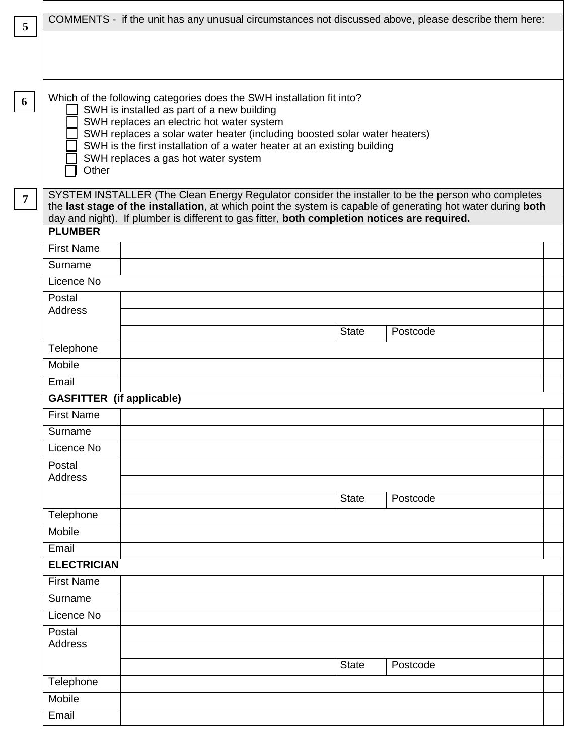|                                                                                                                                                                                                                                                                                                                                      | COMMENTS - if the unit has any unusual circumstances not discussed above, please describe them here:                                                                                                                                                                                                                                                            |  |  |  |  |
|--------------------------------------------------------------------------------------------------------------------------------------------------------------------------------------------------------------------------------------------------------------------------------------------------------------------------------------|-----------------------------------------------------------------------------------------------------------------------------------------------------------------------------------------------------------------------------------------------------------------------------------------------------------------------------------------------------------------|--|--|--|--|
|                                                                                                                                                                                                                                                                                                                                      |                                                                                                                                                                                                                                                                                                                                                                 |  |  |  |  |
| Other                                                                                                                                                                                                                                                                                                                                | Which of the following categories does the SWH installation fit into?<br>SWH is installed as part of a new building<br>SWH replaces an electric hot water system<br>SWH replaces a solar water heater (including boosted solar water heaters)<br>SWH is the first installation of a water heater at an existing building<br>SWH replaces a gas hot water system |  |  |  |  |
| SYSTEM INSTALLER (The Clean Energy Regulator consider the installer to be the person who completes<br>the last stage of the installation, at which point the system is capable of generating hot water during both<br>day and night). If plumber is different to gas fitter, both completion notices are required.<br><b>PLUMBER</b> |                                                                                                                                                                                                                                                                                                                                                                 |  |  |  |  |
| <b>First Name</b>                                                                                                                                                                                                                                                                                                                    |                                                                                                                                                                                                                                                                                                                                                                 |  |  |  |  |
| Surname                                                                                                                                                                                                                                                                                                                              |                                                                                                                                                                                                                                                                                                                                                                 |  |  |  |  |
| Licence No                                                                                                                                                                                                                                                                                                                           |                                                                                                                                                                                                                                                                                                                                                                 |  |  |  |  |
| Postal<br><b>Address</b>                                                                                                                                                                                                                                                                                                             | Postcode<br><b>State</b>                                                                                                                                                                                                                                                                                                                                        |  |  |  |  |
| Telephone                                                                                                                                                                                                                                                                                                                            |                                                                                                                                                                                                                                                                                                                                                                 |  |  |  |  |
| Mobile                                                                                                                                                                                                                                                                                                                               |                                                                                                                                                                                                                                                                                                                                                                 |  |  |  |  |
| Email                                                                                                                                                                                                                                                                                                                                |                                                                                                                                                                                                                                                                                                                                                                 |  |  |  |  |
| <b>GASFITTER</b> (if applicable)                                                                                                                                                                                                                                                                                                     |                                                                                                                                                                                                                                                                                                                                                                 |  |  |  |  |
| <b>First Name</b>                                                                                                                                                                                                                                                                                                                    |                                                                                                                                                                                                                                                                                                                                                                 |  |  |  |  |
| Surname                                                                                                                                                                                                                                                                                                                              |                                                                                                                                                                                                                                                                                                                                                                 |  |  |  |  |
| Licence No                                                                                                                                                                                                                                                                                                                           |                                                                                                                                                                                                                                                                                                                                                                 |  |  |  |  |
| Postal<br><b>Address</b>                                                                                                                                                                                                                                                                                                             |                                                                                                                                                                                                                                                                                                                                                                 |  |  |  |  |
|                                                                                                                                                                                                                                                                                                                                      | <b>State</b><br>Postcode                                                                                                                                                                                                                                                                                                                                        |  |  |  |  |
| Telephone                                                                                                                                                                                                                                                                                                                            |                                                                                                                                                                                                                                                                                                                                                                 |  |  |  |  |
| Mobile                                                                                                                                                                                                                                                                                                                               |                                                                                                                                                                                                                                                                                                                                                                 |  |  |  |  |
| Email                                                                                                                                                                                                                                                                                                                                |                                                                                                                                                                                                                                                                                                                                                                 |  |  |  |  |
| <b>ELECTRICIAN</b>                                                                                                                                                                                                                                                                                                                   |                                                                                                                                                                                                                                                                                                                                                                 |  |  |  |  |
| <b>First Name</b>                                                                                                                                                                                                                                                                                                                    |                                                                                                                                                                                                                                                                                                                                                                 |  |  |  |  |
| Surname                                                                                                                                                                                                                                                                                                                              |                                                                                                                                                                                                                                                                                                                                                                 |  |  |  |  |
| Licence No                                                                                                                                                                                                                                                                                                                           |                                                                                                                                                                                                                                                                                                                                                                 |  |  |  |  |
| Postal<br><b>Address</b>                                                                                                                                                                                                                                                                                                             | <b>State</b><br>Postcode                                                                                                                                                                                                                                                                                                                                        |  |  |  |  |
| Telephone                                                                                                                                                                                                                                                                                                                            |                                                                                                                                                                                                                                                                                                                                                                 |  |  |  |  |
| Mobile                                                                                                                                                                                                                                                                                                                               |                                                                                                                                                                                                                                                                                                                                                                 |  |  |  |  |
| Email                                                                                                                                                                                                                                                                                                                                |                                                                                                                                                                                                                                                                                                                                                                 |  |  |  |  |

Г  $\lfloor$